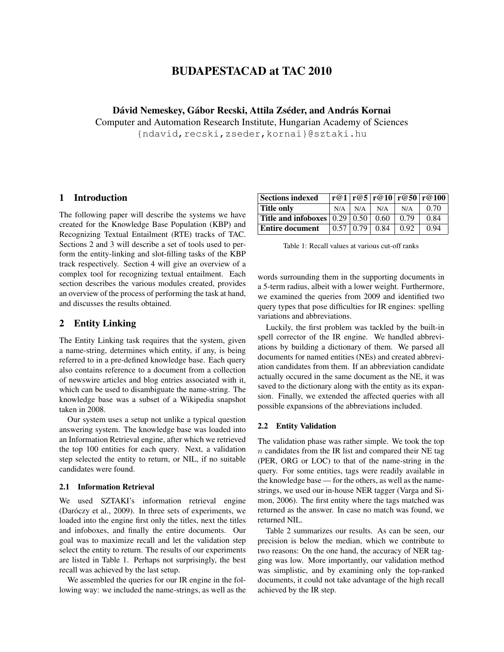# BUDAPESTACAD at TAC 2010

Dávid Nemeskey, Gábor Recski, Attila Zséder, and András Kornai Computer and Automation Research Institute, Hungarian Academy of Sciences {ndavid,recski,zseder,kornai}@sztaki.hu

### 1 Introduction

The following paper will describe the systems we have created for the Knowledge Base Population (KBP) and Recognizing Textual Entailment (RTE) tracks of TAC. Sections 2 and 3 will describe a set of tools used to perform the entity-linking and slot-filling tasks of the KBP track respectively. Section 4 will give an overview of a complex tool for recognizing textual entailment. Each section describes the various modules created, provides an overview of the process of performing the task at hand, and discusses the results obtained.

## 2 Entity Linking

The Entity Linking task requires that the system, given a name-string, determines which entity, if any, is being referred to in a pre-defined knowledge base. Each query also contains reference to a document from a collection of newswire articles and blog entries associated with it, which can be used to disambiguate the name-string. The knowledge base was a subset of a Wikipedia snapshot taken in 2008.

Our system uses a setup not unlike a typical question answering system. The knowledge base was loaded into an Information Retrieval engine, after which we retrieved the top 100 entities for each query. Next, a validation step selected the entity to return, or NIL, if no suitable candidates were found.

#### 2.1 Information Retrieval

We used SZTAKI's information retrieval engine (Daróczy et al., 2009). In three sets of experiments, we loaded into the engine first only the titles, next the titles and infoboxes, and finally the entire documents. Our goal was to maximize recall and let the validation step select the entity to return. The results of our experiments are listed in Table 1. Perhaps not surprisingly, the best recall was achieved by the last setup.

We assembled the queries for our IR engine in the following way: we included the name-strings, as well as the

| <b>Sections indexed</b>                           |      |      |      |      | r@1 r@5 r@10 r@50 r@100 |
|---------------------------------------------------|------|------|------|------|-------------------------|
| Title only                                        | N/A  | N/A  | N/A  | N/A  | 0.70                    |
| Title and infoboxes $\vert 0.29 \vert 0.50 \vert$ |      |      | 0.60 | 0.79 | 0.84                    |
| <b>Entire document</b>                            | 0.57 | 0.79 | 0.84 | 0.92 | 0.94                    |

Table 1: Recall values at various cut-off ranks

words surrounding them in the supporting documents in a 5-term radius, albeit with a lower weight. Furthermore, we examined the queries from 2009 and identified two query types that pose difficulties for IR engines: spelling variations and abbreviations.

Luckily, the first problem was tackled by the built-in spell corrector of the IR engine. We handled abbreviations by building a dictionary of them. We parsed all documents for named entities (NEs) and created abbreviation candidates from them. If an abbreviation candidate actually occured in the same document as the NE, it was saved to the dictionary along with the entity as its expansion. Finally, we extended the affected queries with all possible expansions of the abbreviations included.

### 2.2 Entity Validation

The validation phase was rather simple. We took the top  $n$  candidates from the IR list and compared their NE tag (PER, ORG or LOC) to that of the name-string in the query. For some entities, tags were readily available in the knowledge base — for the others, as well as the namestrings, we used our in-house NER tagger (Varga and Simon, 2006). The first entity where the tags matched was returned as the answer. In case no match was found, we returned NIL.

Table 2 summarizes our results. As can be seen, our precision is below the median, which we contribute to two reasons: On the one hand, the accuracy of NER tagging was low. More importantly, our validation method was simplistic, and by examining only the top-ranked documents, it could not take advantage of the high recall achieved by the IR step.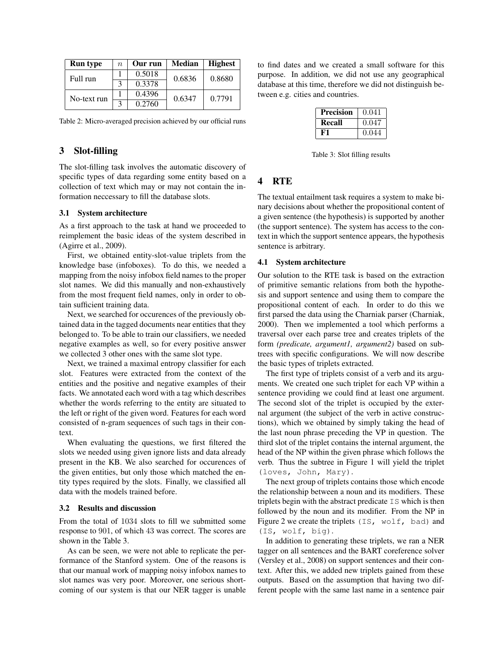| Run type    | $\boldsymbol{n}$ | Our run | <b>Median</b> | <b>Highest</b> |  |
|-------------|------------------|---------|---------------|----------------|--|
| Full run    |                  | 0.5018  | 0.6836        | 0.8680         |  |
|             |                  | 0.3378  |               |                |  |
| No-text run | 0.4396           |         | 0.6347        | 0.7791         |  |
|             |                  | 0.2760  |               |                |  |

Table 2: Micro-averaged precision achieved by our official runs

## 3 Slot-filling

The slot-filling task involves the automatic discovery of specific types of data regarding some entity based on a collection of text which may or may not contain the information neccessary to fill the database slots.

#### 3.1 System architecture

As a first approach to the task at hand we proceeded to reimplement the basic ideas of the system described in (Agirre et al., 2009).

First, we obtained entity-slot-value triplets from the knowledge base (infoboxes). To do this, we needed a mapping from the noisy infobox field names to the proper slot names. We did this manually and non-exhaustively from the most frequent field names, only in order to obtain sufficient training data.

Next, we searched for occurences of the previously obtained data in the tagged documents near entities that they belonged to. To be able to train our classifiers, we needed negative examples as well, so for every positive answer we collected 3 other ones with the same slot type.

Next, we trained a maximal entropy classifier for each slot. Features were extracted from the context of the entities and the positive and negative examples of their facts. We annotated each word with a tag which describes whether the words referring to the entity are situated to the left or right of the given word. Features for each word consisted of n-gram sequences of such tags in their context.

When evaluating the questions, we first filtered the slots we needed using given ignore lists and data already present in the KB. We also searched for occurences of the given entities, but only those which matched the entity types required by the slots. Finally, we classified all data with the models trained before.

#### 3.2 Results and discussion

From the total of 1034 slots to fill we submitted some response to 901, of which 43 was correct. The scores are shown in the Table 3.

As can be seen, we were not able to replicate the performance of the Stanford system. One of the reasons is that our manual work of mapping noisy infobox names to slot names was very poor. Moreover, one serious shortcoming of our system is that our NER tagger is unable

to find dates and we created a small software for this purpose. In addition, we did not use any geographical database at this time, therefore we did not distinguish between e.g. cities and countries.

| Precision | 0.041 |  |  |
|-----------|-------|--|--|
| Recall    | 0.047 |  |  |
|           | 0.044 |  |  |

Table 3: Slot filling results

# 4 RTE

The textual entailment task requires a system to make binary decisions about whether the propositional content of a given sentence (the hypothesis) is supported by another (the support sentence). The system has access to the context in which the support sentence appears, the hypothesis sentence is arbitrary.

#### 4.1 System architecture

Our solution to the RTE task is based on the extraction of primitive semantic relations from both the hypothesis and support sentence and using them to compare the propositional content of each. In order to do this we first parsed the data using the Charniak parser (Charniak, 2000). Then we implemented a tool which performs a traversal over each parse tree and creates triplets of the form *(predicate, argument1, argument2)* based on subtrees with specific configurations. We will now describe the basic types of triplets extracted.

The first type of triplets consist of a verb and its arguments. We created one such triplet for each VP within a sentence providing we could find at least one argument. The second slot of the triplet is occupied by the external argument (the subject of the verb in active constructions), which we obtained by simply taking the head of the last noun phrase preceding the VP in question. The third slot of the triplet contains the internal argument, the head of the NP within the given phrase which follows the verb. Thus the subtree in Figure 1 will yield the triplet (loves, John, Mary).

The next group of triplets contains those which encode the relationship between a noun and its modifiers. These triplets begin with the abstract predicate IS which is then followed by the noun and its modifier. From the NP in Figure 2 we create the triplets  $(IS, \text{ well}, \text{ bad})$  and (IS, wolf, big).

In addition to generating these triplets, we ran a NER tagger on all sentences and the BART coreference solver (Versley et al., 2008) on support sentences and their context. After this, we added new triplets gained from these outputs. Based on the assumption that having two different people with the same last name in a sentence pair